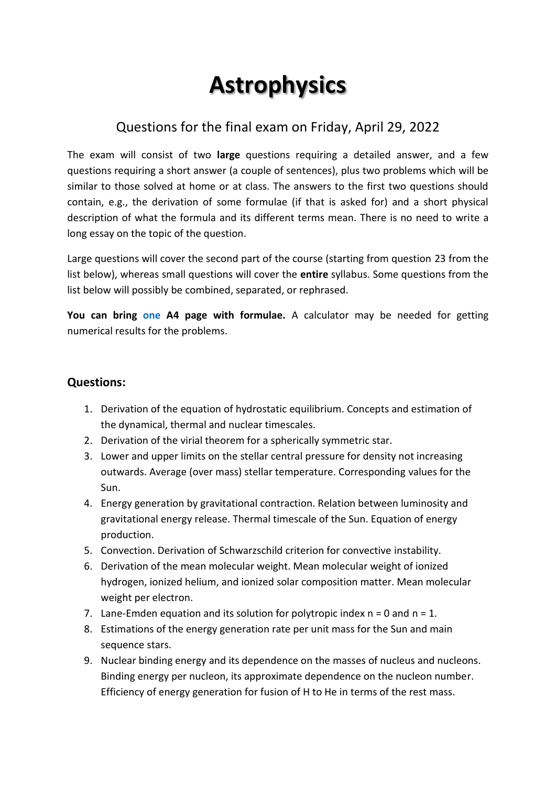## **Astrophysics**

## Questions for the final exam on Friday, April 29, 2022

The exam will consist of two **large** questions requiring a detailed answer, and a few questions requiring a short answer (a couple of sentences), plus two problems which will be similar to those solved at home or at class. The answers to the first two questions should contain, e.g., the derivation of some formulae (if that is asked for) and a short physical description of what the formula and its different terms mean. There is no need to write a long essay on the topic of the question.

Large questions will cover the second part of the course (starting from question 23 from the list below), whereas small questions will cover the **entire** syllabus. Some questions from the list below will possibly be combined, separated, or rephrased.

**You can bring one A4 page with formulae.** A calculator may be needed for getting numerical results for the problems.

## **Questions:**

- 1. Derivation of the equation of hydrostatic equilibrium. Concepts and estimation of the dynamical, thermal and nuclear timescales.
- 2. Derivation of the virial theorem for a spherically symmetric star.
- 3. Lower and upper limits on the stellar central pressure for density not increasing outwards. Average (over mass) stellar temperature. Corresponding values for the Sun.
- 4. Energy generation by gravitational contraction. Relation between luminosity and gravitational energy release. Thermal timescale of the Sun. Equation of energy production.
- 5. Convection. Derivation of Schwarzschild criterion for convective instability.
- 6. Derivation of the mean molecular weight. Mean molecular weight of ionized hydrogen, ionized helium, and ionized solar composition matter. Mean molecular weight per electron.
- 7. Lane-Emden equation and its solution for polytropic index  $n = 0$  and  $n = 1$ .
- 8. Estimations of the energy generation rate per unit mass for the Sun and main sequence stars.
- 9. Nuclear binding energy and its dependence on the masses of nucleus and nucleons. Binding energy per nucleon, its approximate dependence on the nucleon number. Efficiency of energy generation for fusion of H to He in terms of the rest mass.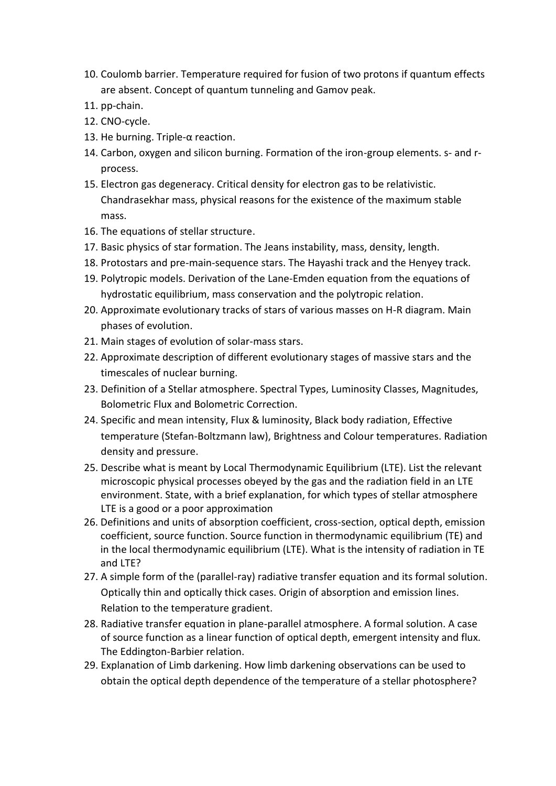- 10. Coulomb barrier. Temperature required for fusion of two protons if quantum effects are absent. Concept of quantum tunneling and Gamov peak.
- 11. pp-chain.
- 12. CNO-cycle.
- 13. He burning. Triple-α reaction.
- 14. Carbon, oxygen and silicon burning. Formation of the iron-group elements. s- and rprocess.
- 15. Electron gas degeneracy. Critical density for electron gas to be relativistic. Chandrasekhar mass, physical reasons for the existence of the maximum stable mass.
- 16. The equations of stellar structure.
- 17. Basic physics of star formation. The Jeans instability, mass, density, length.
- 18. Protostars and pre-main-sequence stars. The Hayashi track and the Henyey track.
- 19. Polytropic models. Derivation of the Lane-Emden equation from the equations of hydrostatic equilibrium, mass conservation and the polytropic relation.
- 20. Approximate evolutionary tracks of stars of various masses on H-R diagram. Main phases of evolution.
- 21. Main stages of evolution of solar-mass stars.
- 22. Approximate description of different evolutionary stages of massive stars and the timescales of nuclear burning.
- 23. Definition of a Stellar atmosphere. Spectral Types, Luminosity Classes, Magnitudes, Bolometric Flux and Bolometric Correction.
- 24. Specific and mean intensity, Flux & luminosity, Black body radiation, Effective temperature (Stefan-Boltzmann law), Brightness and Colour temperatures. Radiation density and pressure.
- 25. Describe what is meant by Local Thermodynamic Equilibrium (LTE). List the relevant microscopic physical processes obeyed by the gas and the radiation field in an LTE environment. State, with a brief explanation, for which types of stellar atmosphere LTE is a good or a poor approximation
- 26. Definitions and units of absorption coefficient, cross-section, optical depth, emission coefficient, source function. Source function in thermodynamic equilibrium (TE) and in the local thermodynamic equilibrium (LTE). What is the intensity of radiation in TE and LTE?
- 27. A simple form of the (parallel-ray) radiative transfer equation and its formal solution. Optically thin and optically thick cases. Origin of absorption and emission lines. Relation to the temperature gradient.
- 28. Radiative transfer equation in plane-parallel atmosphere. A formal solution. A case of source function as a linear function of optical depth, emergent intensity and flux. The Eddington-Barbier relation.
- 29. Explanation of Limb darkening. How limb darkening observations can be used to obtain the optical depth dependence of the temperature of a stellar photosphere?